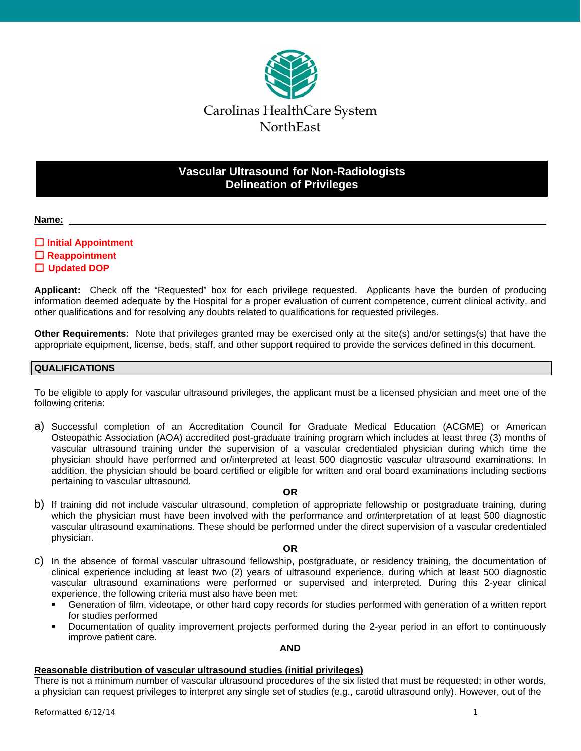

# **Vascular Ultrasound for Non-Radiologists Delineation of Privileges**

#### **Name:**

# **Initial Appointment**

- **Reappointment**
- **Updated DOP**

**Applicant:** Check off the "Requested" box for each privilege requested. Applicants have the burden of producing information deemed adequate by the Hospital for a proper evaluation of current competence, current clinical activity, and other qualifications and for resolving any doubts related to qualifications for requested privileges.

**Other Requirements:** Note that privileges granted may be exercised only at the site(s) and/or settings(s) that have the appropriate equipment, license, beds, staff, and other support required to provide the services defined in this document.

# **QUALIFICATIONS**

To be eligible to apply for vascular ultrasound privileges, the applicant must be a licensed physician and meet one of the following criteria:

a) Successful completion of an Accreditation Council for Graduate Medical Education (ACGME) or American Osteopathic Association (AOA) accredited post-graduate training program which includes at least three (3) months of vascular ultrasound training under the supervision of a vascular credentialed physician during which time the physician should have performed and or/interpreted at least 500 diagnostic vascular ultrasound examinations. In addition, the physician should be board certified or eligible for written and oral board examinations including sections pertaining to vascular ultrasound.

#### **OR**

b) If training did not include vascular ultrasound, completion of appropriate fellowship or postgraduate training, during which the physician must have been involved with the performance and or/interpretation of at least 500 diagnostic vascular ultrasound examinations. These should be performed under the direct supervision of a vascular credentialed physician.

#### **OR**

- c) In the absence of formal vascular ultrasound fellowship, postgraduate, or residency training, the documentation of clinical experience including at least two (2) years of ultrasound experience, during which at least 500 diagnostic vascular ultrasound examinations were performed or supervised and interpreted. During this 2-year clinical experience, the following criteria must also have been met:
	- Generation of film, videotape, or other hard copy records for studies performed with generation of a written report for studies performed
	- Documentation of quality improvement projects performed during the 2-year period in an effort to continuously improve patient care.

#### **AND**

# **Reasonable distribution of vascular ultrasound studies (initial privileges)**

There is not a minimum number of vascular ultrasound procedures of the six listed that must be requested; in other words, a physician can request privileges to interpret any single set of studies (e.g., carotid ultrasound only). However, out of the

 $Reformed 6/12/14$  1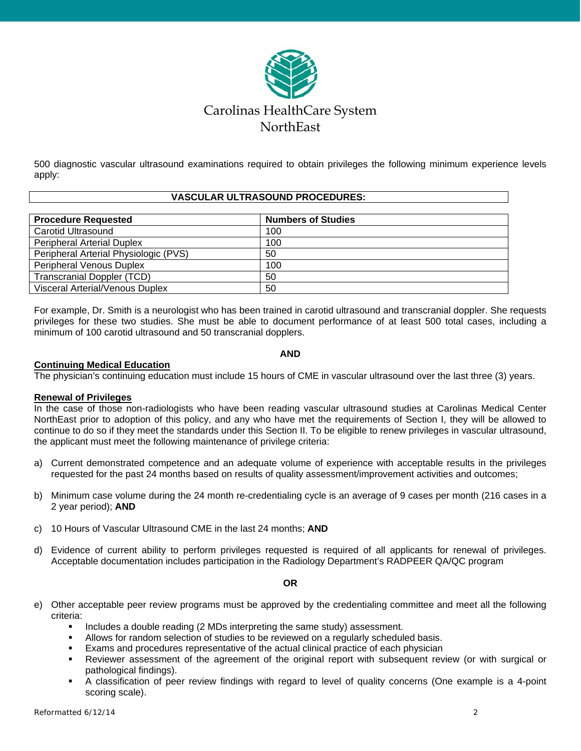

500 diagnostic vascular ultrasound examinations required to obtain privileges the following minimum experience levels apply:

#### **VASCULAR ULTRASOUND PROCEDURES:**

| <b>Procedure Requested</b>             | <b>Numbers of Studies</b> |
|----------------------------------------|---------------------------|
| Carotid Ultrasound                     | 100                       |
| <b>Peripheral Arterial Duplex</b>      | 100                       |
| Peripheral Arterial Physiologic (PVS)  | 50                        |
| <b>Peripheral Venous Duplex</b>        | 100                       |
| <b>Transcranial Doppler (TCD)</b>      | 50                        |
| <b>Visceral Arterial/Venous Duplex</b> | 50                        |

For example, Dr. Smith is a neurologist who has been trained in carotid ultrasound and transcranial doppler. She requests privileges for these two studies. She must be able to document performance of at least 500 total cases, including a minimum of 100 carotid ultrasound and 50 transcranial dopplers.

#### **AND**

# **Continuing Medical Education**

The physician's continuing education must include 15 hours of CME in vascular ultrasound over the last three (3) years.

# **Renewal of Privileges**

In the case of those non-radiologists who have been reading vascular ultrasound studies at Carolinas Medical Center NorthEast prior to adoption of this policy, and any who have met the requirements of Section I, they will be allowed to continue to do so if they meet the standards under this Section II. To be eligible to renew privileges in vascular ultrasound, the applicant must meet the following maintenance of privilege criteria:

- a) Current demonstrated competence and an adequate volume of experience with acceptable results in the privileges requested for the past 24 months based on results of quality assessment/improvement activities and outcomes;
- b) Minimum case volume during the 24 month re-credentialing cycle is an average of 9 cases per month (216 cases in a 2 year period); **AND**
- c) 10 Hours of Vascular Ultrasound CME in the last 24 months; **AND**
- d) Evidence of current ability to perform privileges requested is required of all applicants for renewal of privileges. Acceptable documentation includes participation in the Radiology Department's RADPEER QA/QC program

# **OR**

- e) Other acceptable peer review programs must be approved by the credentialing committee and meet all the following criteria:
	- Includes a double reading (2 MDs interpreting the same study) assessment.
	- Allows for random selection of studies to be reviewed on a regularly scheduled basis.
	- Exams and procedures representative of the actual clinical practice of each physician
	- Reviewer assessment of the agreement of the original report with subsequent review (or with surgical or pathological findings).
	- A classification of peer review findings with regard to level of quality concerns (One example is a 4-point scoring scale).